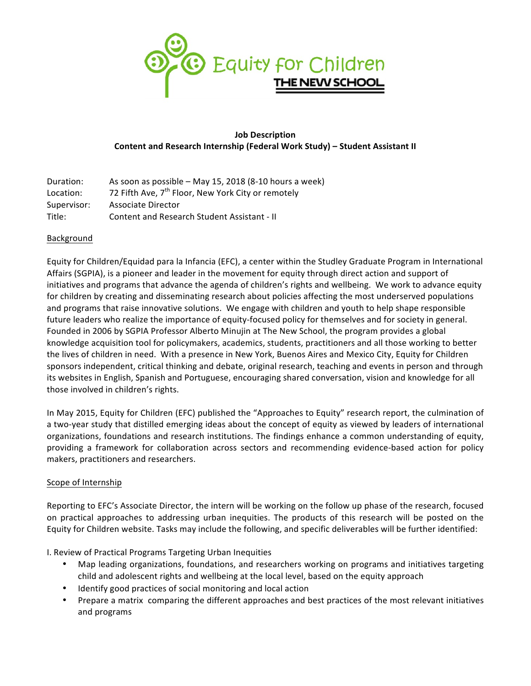

# **Job Description Content and Research Internship (Federal Work Study) – Student Assistant II**

| Duration:   | As soon as possible - May 15, 2018 (8-10 hours a week)         |
|-------------|----------------------------------------------------------------|
| Location:   | 72 Fifth Ave, 7 <sup>th</sup> Floor, New York City or remotely |
| Supervisor: | Associate Director                                             |
| Title:      | Content and Research Student Assistant - II                    |

### **Background**

Equity for Children/Equidad para la Infancia (EFC), a center within the Studley Graduate Program in International Affairs (SGPIA), is a pioneer and leader in the movement for equity through direct action and support of initiatives and programs that advance the agenda of children's rights and wellbeing. We work to advance equity for children by creating and disseminating research about policies affecting the most underserved populations and programs that raise innovative solutions. We engage with children and youth to help shape responsible future leaders who realize the importance of equity-focused policy for themselves and for society in general. Founded in 2006 by SGPIA Professor Alberto Minujin at The New School, the program provides a global knowledge acquisition tool for policymakers, academics, students, practitioners and all those working to better the lives of children in need. With a presence in New York, Buenos Aires and Mexico City, Equity for Children sponsors independent, critical thinking and debate, original research, teaching and events in person and through its websites in English, Spanish and Portuguese, encouraging shared conversation, vision and knowledge for all those involved in children's rights.

In May 2015, Equity for Children (EFC) published the "Approaches to Equity" research report, the culmination of a two-year study that distilled emerging ideas about the concept of equity as viewed by leaders of international organizations, foundations and research institutions. The findings enhance a common understanding of equity, providing a framework for collaboration across sectors and recommending evidence-based action for policy makers, practitioners and researchers.

#### Scope of Internship

Reporting to EFC's Associate Director, the intern will be working on the follow up phase of the research, focused on practical approaches to addressing urban inequities. The products of this research will be posted on the Equity for Children website. Tasks may include the following, and specific deliverables will be further identified:

I. Review of Practical Programs Targeting Urban Inequities

- Map leading organizations, foundations, and researchers working on programs and initiatives targeting child and adolescent rights and wellbeing at the local level, based on the equity approach
- Identify good practices of social monitoring and local action
- Prepare a matrix comparing the different approaches and best practices of the most relevant initiatives and programs